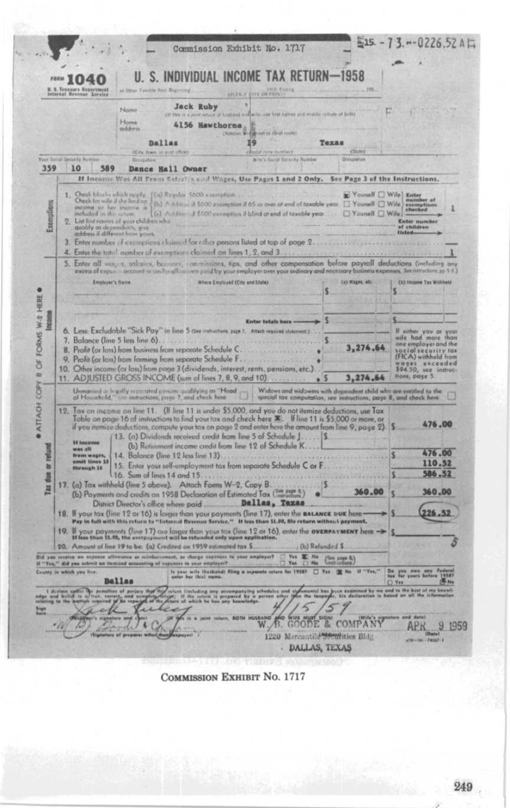|                                  |                                                                                                                                                                                                                                                                                                                                                                                                                 |                                                                                                                                                                                                                                                                                        | UNER I FIFE OR PRINTS                                              |                                                                  |                                                                                                                                 |  |  |
|----------------------------------|-----------------------------------------------------------------------------------------------------------------------------------------------------------------------------------------------------------------------------------------------------------------------------------------------------------------------------------------------------------------------------------------------------------------|----------------------------------------------------------------------------------------------------------------------------------------------------------------------------------------------------------------------------------------------------------------------------------------|--------------------------------------------------------------------|------------------------------------------------------------------|---------------------------------------------------------------------------------------------------------------------------------|--|--|
|                                  | Name<br>Home<br>addinis<br>Dallas                                                                                                                                                                                                                                                                                                                                                                               | <b>Jack Ruby</b><br>cut this is a point rebook of husband and write, use first names and musture initials of birth)<br>4156 Hawthorne                                                                                                                                                  | distreet or clical route<br>19                                     | Teras                                                            |                                                                                                                                 |  |  |
|                                  | (City, town, or pay) (flick).<br>Your Succed Security Number<br>Generation                                                                                                                                                                                                                                                                                                                                      |                                                                                                                                                                                                                                                                                        | <b>Restal curve maintain)</b><br>mite's Sacral Security Number     | <b>EStates</b><br><b>Oringalnus</b>                              |                                                                                                                                 |  |  |
| 359                              | 10<br>589                                                                                                                                                                                                                                                                                                                                                                                                       | Dance Hall Owner                                                                                                                                                                                                                                                                       |                                                                    |                                                                  |                                                                                                                                 |  |  |
|                                  | If Income Was All From Safari's and Wages, Use Pages 1 and 2 Only. See Page 3 of the Instructions,                                                                                                                                                                                                                                                                                                              |                                                                                                                                                                                                                                                                                        |                                                                    |                                                                  |                                                                                                                                 |  |  |
| Exemplions                       | Check blocks which neely. { (a) Regular 5600 exemption<br>Onck for wife if the head its: (1.) A determinist 2000 exemption if 65 or over at end of taxable year. $\Box$ Younell $\Box$ Wife exemption is accompany to the state of taxable year. $\Box$ Younell $\Box$ Wife $\Box$ Wife $\Box$ Wife<br>List first names of your children who<br>qualify as dependents, give<br>address if different from yours. |                                                                                                                                                                                                                                                                                        |                                                                    | <b>E</b> Yourself U Wife Enter                                   | Enter numbe<br>of children<br>Histori                                                                                           |  |  |
|                                  | 3. Enter number of examptions claimed for other persons listed at top of page 2<br>4. Enter the tatal number of examptions claimed on lines 1, 2, and 3                                                                                                                                                                                                                                                         |                                                                                                                                                                                                                                                                                        |                                                                    |                                                                  |                                                                                                                                 |  |  |
|                                  | 5. Enter all way is, salizies, because, conmissions, tips, and other compensation before payroll deductions (including any                                                                                                                                                                                                                                                                                      |                                                                                                                                                                                                                                                                                        |                                                                    |                                                                  |                                                                                                                                 |  |  |
|                                  | excess of expusition cocount or distifar afficiative excidiby your employer over your ordinary and necessary business expenses. See intractions go 3.63<br>Employer's frame                                                                                                                                                                                                                                     | Where Employed (City and State)                                                                                                                                                                                                                                                        |                                                                    | (a) Wages, etc.                                                  | <b>Ct) Incame Tax Withhold</b>                                                                                                  |  |  |
|                                  |                                                                                                                                                                                                                                                                                                                                                                                                                 |                                                                                                                                                                                                                                                                                        |                                                                    |                                                                  | S                                                                                                                               |  |  |
|                                  |                                                                                                                                                                                                                                                                                                                                                                                                                 |                                                                                                                                                                                                                                                                                        |                                                                    |                                                                  |                                                                                                                                 |  |  |
| Income                           |                                                                                                                                                                                                                                                                                                                                                                                                                 |                                                                                                                                                                                                                                                                                        | <b>Enter totals here</b>                                           |                                                                  |                                                                                                                                 |  |  |
|                                  | 7. Balance (line 5 less line 6).<br>8. Profit (or loss) from business from separate Schedule C.<br>9. Profit (or loss) from farming from separate Schedule F<br>10. Other income (or loss) from page 3 (dividends, interest, rents, pensions, etc.).<br>11. ADJUSTED GROSS INCOME (sum of lines 7, 8, 9, and 10)                                                                                                |                                                                                                                                                                                                                                                                                        |                                                                    | 274.64<br>۰<br>3,274.64<br>ß                                     | one employer and the<br>social security las<br>(FICA) withheld from<br>nages exceeded<br>\$94.50, see instruc-<br>Hont, page 5. |  |  |
|                                  | Unmanied as legally separated pencini qualifying as "Head"<br>of Household," see immetions, page 7, and check here                                                                                                                                                                                                                                                                                              |                                                                                                                                                                                                                                                                                        |                                                                    | Widows and widowers with dependent child who are entitled to the |                                                                                                                                 |  |  |
|                                  | 12. Tax on income on line 11. (If line 11 is under \$5,000, and you do not itemize deductions, use Tax<br>Table on page 16 of instructions to find your tox and check here $\mathbf{x}$ . If line 11 is \$5,000 or more, or<br>if you itemize deductions, compute your tax on page 2 and enter here the amount from line 9, page 2)<br><b>If income</b>                                                         | 13. (a) Dividends received credit from line 5 of Schedule J 5.<br>(b) Retirement income credit from line 12 of Schedule K                                                                                                                                                              | special tax computation, see instructions, page II, and check here |                                                                  | 476.00                                                                                                                          |  |  |
|                                  |                                                                                                                                                                                                                                                                                                                                                                                                                 | 14. Balance (line 12 less line 13)                                                                                                                                                                                                                                                     |                                                                    |                                                                  | 476.00<br>110.52                                                                                                                |  |  |
|                                  | was all.<br>from wages,                                                                                                                                                                                                                                                                                                                                                                                         | 15. Enter your self-employment tax from separate Schedule C or F<br>through 15<br>16. Sum of lines 14 and 15                                                                                                                                                                           |                                                                    |                                                                  |                                                                                                                                 |  |  |
|                                  | <b>Genit Hove 13</b>                                                                                                                                                                                                                                                                                                                                                                                            |                                                                                                                                                                                                                                                                                        |                                                                    |                                                                  |                                                                                                                                 |  |  |
|                                  | 17. (a) Tax withhold (line 5 above). Attach Farms W-2, Copy B.                                                                                                                                                                                                                                                                                                                                                  |                                                                                                                                                                                                                                                                                        |                                                                    | 360,00                                                           | 586.52<br>360.00                                                                                                                |  |  |
|                                  | (b) Payments and credits on 1958 Declaration of Estimated Tax (300 page 8.)                                                                                                                                                                                                                                                                                                                                     |                                                                                                                                                                                                                                                                                        |                                                                    |                                                                  |                                                                                                                                 |  |  |
|                                  | 18. If your tax (line 12 or 16) is lorger than your payments (line 17), enter the BALANCE bUE here-<br>Pay in full with this return to "Internal Revenue Service." If less than \$1.00, file return without payment.                                                                                                                                                                                            |                                                                                                                                                                                                                                                                                        |                                                                    |                                                                  | 26.52                                                                                                                           |  |  |
|                                  | 19. If your poyments (line 17) are larger than your tax (line 12 or 16), enter the <b>overFAYMENT</b> here ->                                                                                                                                                                                                                                                                                                   |                                                                                                                                                                                                                                                                                        |                                                                    |                                                                  |                                                                                                                                 |  |  |
|                                  | 20. Amount of line 19 to be: (a) Credited on 1959 estimated tax S.<br>you receive an expense attrauence as reinburst                                                                                                                                                                                                                                                                                            |                                                                                                                                                                                                                                                                                        | Yes E No                                                           | (b) Refunded \$                                                  |                                                                                                                                 |  |  |
|                                  | If "Yes," did you submit an itemized occurating of an                                                                                                                                                                                                                                                                                                                                                           | est, se charge expenses to your amplayer?<br>Tregulares news at count                                                                                                                                                                                                                  | $\Box$ No<br>Yes:                                                  | (Sen page 6.)<br>Tes 32 No 31 "Yes,"                             |                                                                                                                                 |  |  |
|                                  | County in which you live.<br>Dallas                                                                                                                                                                                                                                                                                                                                                                             | Is your wife thusband) filing a separate return for 1938?<br>return limituding any accompanying schedulus and stylements? has buun asaminad by m<br>sm: 117 the schedule is proposed by a posson ather tyles the harpeyer, his detectionism is<br>harm at which he has smy bannebedge. |                                                                    |                                                                  | Do you owe any<br><b>ALL</b><br>C) Yes<br>and to the bost of my line<br>assed on all the informal                               |  |  |
| due or retund<br>Ħ<br><b>BIA</b> |                                                                                                                                                                                                                                                                                                                                                                                                                 |                                                                                                                                                                                                                                                                                        |                                                                    |                                                                  |                                                                                                                                 |  |  |

COMMISSION EXHIBIT No. 1717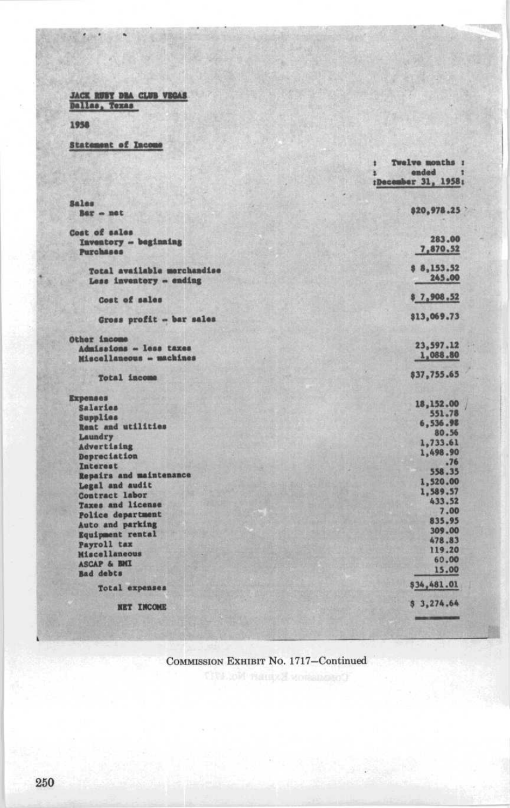JACK RUSY DRA CLUB VEGAS

1958

Statement of Income

|                                                        | Twelve months :<br>1<br>andad<br>×<br>:December 31, 1958; |
|--------------------------------------------------------|-----------------------------------------------------------|
|                                                        |                                                           |
| Sales<br>Bar - net                                     | \$20,978.25                                               |
| Cost of sales                                          |                                                           |
| Inventory -- beginning<br><b>Purchases</b>             | 283.00<br>7,870.52                                        |
| Total available merchandise<br>Less inventory - ending | 8 8,153.52<br>245.00                                      |
| Cost of sales                                          | 97,908,52                                                 |
| Gross profit - bar sales                               | \$13,069.73                                               |
| Other income                                           |                                                           |
| Admissions - less taxes                                | 23,597.12                                                 |
| Miscellaneous - machines                               | 1,088.80                                                  |
| <b>Total income</b>                                    | \$37,755.65                                               |
| <b>Expenses</b>                                        |                                                           |
| Salaries                                               | 18,152,00<br>551.78                                       |
| Supplies                                               | 6,536.98                                                  |
| Reat and utilities                                     | 80.56                                                     |
| Laundry                                                | 1,733.61                                                  |
| Advertising<br>Depreciation                            | 1,498.90                                                  |
| Interest                                               | .76                                                       |
| Repairs and maintenance                                | 558.35                                                    |
| Legal and audit                                        | 1,520.00                                                  |
| Contract labor                                         | 1,589.57                                                  |
| Taxes and license                                      | 433.52                                                    |
| Police department                                      | 7.00                                                      |
| Auto and parking                                       | 835.95                                                    |
| Equipment rental                                       | 309.00                                                    |
| Payroll tax                                            | 478.83                                                    |
| Miscellaneous                                          | 119.20                                                    |
| <b>ASCAP &amp; BMI</b>                                 | 60.00<br>15.00                                            |
| <b>Bad</b> debts                                       |                                                           |
| Total expenses                                         | \$34,481.01                                               |
| <b>NET INCOME</b>                                      | 53,274.64                                                 |
|                                                        |                                                           |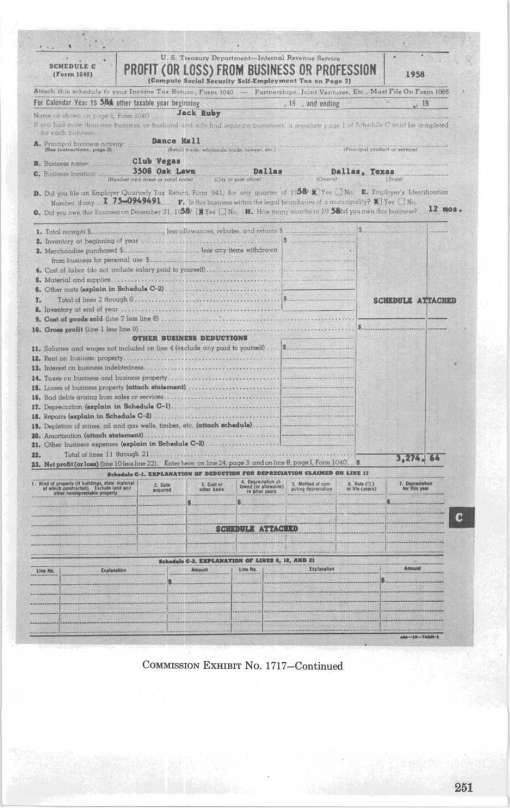| <b>SCHEDULE C</b><br>(Form 1040)                                                                                                                                                                                                                                                                                                                                                                                                                                                                                                                                                                  |                                                                                                   | U. S. Treasury Department-Internal Revenue Service<br>PROFIT (OR LOSS) FROM BUSINESS OR PROFESSION<br>(Compute Social Security Self-Employment Tax on Page 3) |                                         |                                               |                                | 1958                                         |
|---------------------------------------------------------------------------------------------------------------------------------------------------------------------------------------------------------------------------------------------------------------------------------------------------------------------------------------------------------------------------------------------------------------------------------------------------------------------------------------------------------------------------------------------------------------------------------------------------|---------------------------------------------------------------------------------------------------|---------------------------------------------------------------------------------------------------------------------------------------------------------------|-----------------------------------------|-----------------------------------------------|--------------------------------|----------------------------------------------|
| Attach this schedule to your Income Tox Return, Form 1040 - Partnerships, Joint Ventures, Etc., Must File On Form 1065                                                                                                                                                                                                                                                                                                                                                                                                                                                                            |                                                                                                   |                                                                                                                                                               |                                         |                                               |                                |                                              |
| For Calendar Year 19 58 other taxable year beginning                                                                                                                                                                                                                                                                                                                                                                                                                                                                                                                                              |                                                                                                   |                                                                                                                                                               |                                         | 19, and ending                                |                                | (19)                                         |
| Name ca shawn on page 1, Form 1040                                                                                                                                                                                                                                                                                                                                                                                                                                                                                                                                                                |                                                                                                   | <b>Jack Ruby</b>                                                                                                                                              |                                         |                                               |                                |                                              |
| If you had more than one business or husband and wife had separate businesses, a separate page 1 of Schedule C must be completed<br>for each huniness.                                                                                                                                                                                                                                                                                                                                                                                                                                            |                                                                                                   |                                                                                                                                                               |                                         |                                               |                                |                                              |
| A. Principal business activity:<br>the instructions, page 3)                                                                                                                                                                                                                                                                                                                                                                                                                                                                                                                                      | <b>Bance Hall</b>                                                                                 | distail trude, wholesale trade, towyer, etc.)                                                                                                                 |                                         |                                               | d'inicipal product er pervice) |                                              |
| <b>B.</b> Business name:                                                                                                                                                                                                                                                                                                                                                                                                                                                                                                                                                                          | Club Vegas                                                                                        |                                                                                                                                                               |                                         |                                               |                                |                                              |
| C. Business location                                                                                                                                                                                                                                                                                                                                                                                                                                                                                                                                                                              | 3508 Oak Lawn<br>(Number and street or runal route)                                               |                                                                                                                                                               | Dallas<br>clify or post office)         |                                               | Dallas, Texas                  |                                              |
| D. Did you file on Employer Quarterly Tax Return, Form 941, for any quarter of 1158 K Yes No. E. Employer's Identification<br>Number, if any $\mathbb{I}$ , 75-0949491 $\blacksquare$ $\blacksquare$ . In this business within the legal boundaries of a municipality? $\mathbb{Z}$ Yes $\Box$ No.<br>6. Did you own this business on December 31, $1580$   $\frac{1}{2}$ Yes   No. H. How many months in 19 58tid you own this business?                                                                                                                                                         |                                                                                                   |                                                                                                                                                               |                                         |                                               |                                | $12$ mos.                                    |
| 1. Total receipts \$                                                                                                                                                                                                                                                                                                                                                                                                                                                                                                                                                                              |                                                                                                   |                                                                                                                                                               |                                         |                                               |                                |                                              |
|                                                                                                                                                                                                                                                                                                                                                                                                                                                                                                                                                                                                   |                                                                                                   |                                                                                                                                                               |                                         |                                               |                                |                                              |
|                                                                                                                                                                                                                                                                                                                                                                                                                                                                                                                                                                                                   |                                                                                                   |                                                                                                                                                               |                                         |                                               |                                |                                              |
| 4. Cost of labor (do not include salary paid to yourself)                                                                                                                                                                                                                                                                                                                                                                                                                                                                                                                                         |                                                                                                   |                                                                                                                                                               |                                         |                                               |                                |                                              |
|                                                                                                                                                                                                                                                                                                                                                                                                                                                                                                                                                                                                   |                                                                                                   |                                                                                                                                                               |                                         |                                               |                                |                                              |
|                                                                                                                                                                                                                                                                                                                                                                                                                                                                                                                                                                                                   |                                                                                                   |                                                                                                                                                               |                                         |                                               |                                |                                              |
| 7.                                                                                                                                                                                                                                                                                                                                                                                                                                                                                                                                                                                                |                                                                                                   |                                                                                                                                                               |                                         |                                               |                                | <b>SCHEDULE ATTACHED</b>                     |
|                                                                                                                                                                                                                                                                                                                                                                                                                                                                                                                                                                                                   |                                                                                                   |                                                                                                                                                               |                                         |                                               |                                |                                              |
| 10. Gross profit (line 1 lear line 9)                                                                                                                                                                                                                                                                                                                                                                                                                                                                                                                                                             |                                                                                                   |                                                                                                                                                               |                                         |                                               |                                |                                              |
|                                                                                                                                                                                                                                                                                                                                                                                                                                                                                                                                                                                                   |                                                                                                   |                                                                                                                                                               | 18.                                     |                                               |                                |                                              |
|                                                                                                                                                                                                                                                                                                                                                                                                                                                                                                                                                                                                   | Schedule C-1. EXPLANATION OF DEDUCTION FOR DEPRECIATION CLAIMED ON LINE 17<br>2. Date<br>acquired | 3. Cost or<br><b><i><u>Ether</u></i></b> Casis                                                                                                                | Depreciation at<br>lowed (or allowable) | 5. Method of can<br><b>Johng depreciation</b> | E Rate (%)<br>or life (years)  | 3,274.64<br>7. Depreciation<br>for this year |
|                                                                                                                                                                                                                                                                                                                                                                                                                                                                                                                                                                                                   |                                                                                                   |                                                                                                                                                               | in prior years                          |                                               |                                |                                              |
|                                                                                                                                                                                                                                                                                                                                                                                                                                                                                                                                                                                                   |                                                                                                   |                                                                                                                                                               |                                         |                                               |                                |                                              |
|                                                                                                                                                                                                                                                                                                                                                                                                                                                                                                                                                                                                   |                                                                                                   |                                                                                                                                                               |                                         |                                               |                                |                                              |
|                                                                                                                                                                                                                                                                                                                                                                                                                                                                                                                                                                                                   |                                                                                                   |                                                                                                                                                               | <b>SCHEDULE ATTACEED</b>                |                                               |                                |                                              |
|                                                                                                                                                                                                                                                                                                                                                                                                                                                                                                                                                                                                   |                                                                                                   |                                                                                                                                                               |                                         |                                               |                                |                                              |
|                                                                                                                                                                                                                                                                                                                                                                                                                                                                                                                                                                                                   |                                                                                                   | Schedule C-2, EXPLANATION OF LINES 4, 18, AND 21                                                                                                              |                                         |                                               |                                |                                              |
| Explanation                                                                                                                                                                                                                                                                                                                                                                                                                                                                                                                                                                                       |                                                                                                   | Altount                                                                                                                                                       | Line No.                                | Explanation                                   |                                | Amount                                       |
|                                                                                                                                                                                                                                                                                                                                                                                                                                                                                                                                                                                                   |                                                                                                   |                                                                                                                                                               |                                         |                                               |                                |                                              |
|                                                                                                                                                                                                                                                                                                                                                                                                                                                                                                                                                                                                   |                                                                                                   |                                                                                                                                                               |                                         |                                               |                                |                                              |
|                                                                                                                                                                                                                                                                                                                                                                                                                                                                                                                                                                                                   |                                                                                                   |                                                                                                                                                               |                                         |                                               |                                |                                              |
| 11. Salaries and wages not included on line 4 (exclude any paid to yourself)<br>14. Toxes on business and business property<br>15. Losses of business property (attach statement)<br>19. Depletion of mines, oil and gas wells, timber, etc. (attach schedule)<br>21. Other business expenses (explain in Schedule C-2)<br>22.<br>23. Net profit (or loss) (line 10 less line 22). Enter here, on line 24, page 3: and on line 8, page 1, Form 1040.<br>. Kind of property (if buildings, state material<br>af which constructed). Estilude land and<br>other nondepreciable property<br>Line No. |                                                                                                   |                                                                                                                                                               |                                         |                                               |                                |                                              |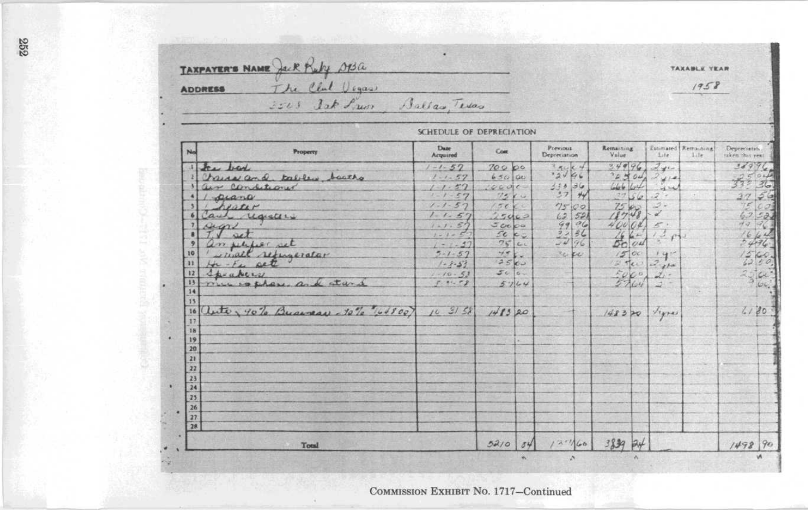TAXPAYER'S NAME Jack Ruby 013a<br>ADDRESS The Club Usques<br>3503 Jak Pierre Ballas, Texas TAXABLE YEAR  $1958$ 

| No              | Property                                         | Date<br>Acquired | Com         | Previous<br>Depreciation                              | Remaining<br>Value  | Life                      | Estimated Remaining<br>1.1x | Depreciatio.<br>taken this year |  |
|-----------------|--------------------------------------------------|------------------|-------------|-------------------------------------------------------|---------------------|---------------------------|-----------------------------|---------------------------------|--|
|                 | 1 few bar                                        | $1 - 1 - 57$     | 70000       | 3.5464                                                | 34996               | 240                       |                             | 38996.                          |  |
|                 | Chairs and tables, backs                         | $1 - 1 - 57$     | 65000       | 32466                                                 | 22504               |                           |                             |                                 |  |
|                 | air conditions                                   | $1 - 1 - 57$     | 1460c       | $\frac{333}{37}$ $\frac{36}{44}$                      |                     |                           |                             |                                 |  |
|                 | 1 piano                                          | $1 - 1 - 57$     | 7500        |                                                       | 3756                | 2.7                       |                             |                                 |  |
|                 | Leaser                                           | $1 - 1 - 57$     | 15000       | 7500                                                  | 7540                | $\mathcal{Q}$ .           |                             |                                 |  |
| 6               | Carl registers                                   | $1 - 1 - 57$     | 25400       | $\frac{62}{99}$<br>$\frac{52}{96}$<br>$\frac{32}{96}$ | $\frac{47.48}{400}$ | 2                         |                             |                                 |  |
|                 | georget                                          | $1 - 1.57$       | 50000       |                                                       |                     | $\frac{\sigma}{\sqrt{3}}$ |                             |                                 |  |
| ٠               |                                                  | $1 - 1 - 57$     | 2c cz       |                                                       | ģ.                  | 131                       |                             | 5496                            |  |
| 2               |                                                  | $1 - 1 - 37$     | 7500        |                                                       | $\overline{\omega}$ |                           |                             |                                 |  |
| 10              |                                                  | $5 - 1 - 57$     | $+56.$      | ce po                                                 | 1500                |                           |                             | $rac{1}{65}$ $rac{1}{5}$        |  |
| $\mathbf{1}$    | an perfect set<br>Linal refugerator              | $1 - 8 - 53$     | 2560        |                                                       | $2700$ $270$        |                           |                             |                                 |  |
| 12              | Speakers                                         | $1 - 10 - 53$    | $500 -$     |                                                       |                     | $2.1 -$                   |                             | $25 - 64$                       |  |
| 13              | mu copter and start                              | 1.1.72           | 5764        |                                                       | $\frac{500}{27}$    | $7 -$                     |                             |                                 |  |
| 14              |                                                  |                  |             |                                                       |                     |                           |                             |                                 |  |
| 15              |                                                  |                  |             |                                                       |                     |                           |                             |                                 |  |
| 16              | auto, 40% Business - 10% "4100) 10 31 58 1413 20 |                  |             |                                                       | 148320 /14745       |                           |                             | 1180                            |  |
| 17              |                                                  |                  |             |                                                       |                     |                           |                             |                                 |  |
| 18              |                                                  |                  |             |                                                       |                     |                           |                             |                                 |  |
| 19              |                                                  |                  |             |                                                       |                     |                           |                             |                                 |  |
| 20              |                                                  |                  |             |                                                       |                     |                           |                             |                                 |  |
| 21              |                                                  |                  |             |                                                       |                     |                           |                             |                                 |  |
| 22              |                                                  |                  |             |                                                       |                     |                           |                             |                                 |  |
| $\frac{23}{24}$ |                                                  |                  |             |                                                       |                     |                           |                             |                                 |  |
|                 |                                                  |                  |             |                                                       |                     |                           |                             |                                 |  |
| 25              |                                                  |                  |             |                                                       |                     |                           |                             |                                 |  |
| 26              |                                                  |                  |             |                                                       |                     |                           |                             |                                 |  |
| 27              |                                                  |                  |             |                                                       |                     |                           |                             |                                 |  |
| 28              |                                                  |                  |             |                                                       |                     |                           |                             |                                 |  |
|                 | Total                                            |                  | $52/0$ $84$ | 127/60                                                | 3839 94             |                           |                             | 1498 90                         |  |

## SCHEDULE OF DEPRECIATION

252